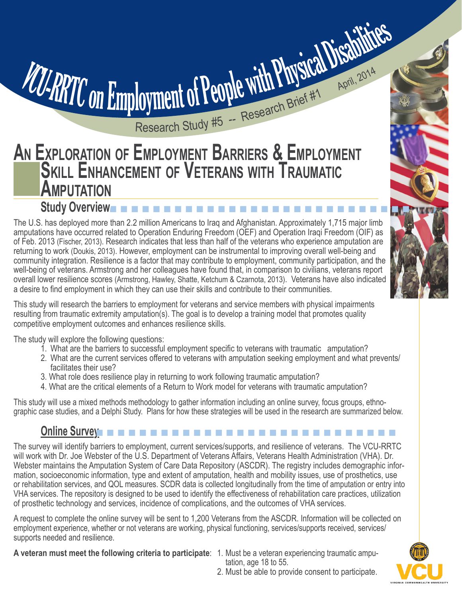# **AN EXPLORATION OF EMPLOYMENT BARRIERS & EMPLOYMENT SKILL ENHANCEMENT OF VETERANS WITH TRAUMATIC AMPUTATION**

## **Study Overview**n n n n n n n n n n n n n n n n n n n n n n n n n n n n

VCU-RRTC on Employment of People with Physical Disabilities

Research Study #5 -- Research Brief #1 April, 2014

The U.S. has deployed more than 2.2 million Americans to Iraq and Afghanistan. Approximately 1,715 major limb amputations have occurred related to Operation Enduring Freedom (OEF) and Operation Iraqi Freedom (OIF) as of Feb. 2013 (Fischer, 2013). Research indicates that less than half of the veterans who experience amputation are returning to work (Doukis, 2013). However, employment can be instrumental to improving overall well-being and community integration. Resilience is a factor that may contribute to employment, community participation, and the well-being of veterans. Armstrong and her colleagues have found that, in comparison to civilians, veterans report overall lower resilience scores (Armstrong, Hawley, Shatte, Ketchum & Czarnota, 2013). Veterans have also indicated a desire to find employment in which they can use their skills and contribute to their communities.

This study will research the barriers to employment for veterans and service members with physical impairments resulting from traumatic extremity amputation(s). The goal is to develop a training model that promotes quality competitive employment outcomes and enhances resilience skills.

The study will explore the following questions:

- 1. What are the barriers to successful employment specific to veterans with traumatic amputation?
- 2. What are the current services offered to veterans with amputation seeking employment and what prevents/ facilitates their use?
- 3. What role does resilience play in returning to work following traumatic amputation?
- 4. What are the critical elements of a Return to Work model for veterans with traumatic amputation?

This study will use a mixed methods methodology to gather information including an online survey, focus groups, ethnographic case studies, and a Delphi Study. Plans for how these strategies will be used in the research are summarized below.

# **Online Survey**

The survey will identify barriers to employment, current services/supports, and resilience of veterans. The VCU-RRTC will work with Dr. Joe Webster of the U.S. Department of Veterans Affairs, Veterans Health Administration (VHA). Dr. Webster maintains the Amputation System of Care Data Repository (ASCDR). The registry includes demographic information, socioeconomic information, type and extent of amputation, health and mobility issues, use of prosthetics, use or rehabilitation services, and QOL measures. SCDR data is collected longitudinally from the time of amputation or entry into VHA services. The repository is designed to be used to identify the effectiveness of rehabilitation care practices, utilization of prosthetic technology and services, incidence of complications, and the outcomes of VHA services.

A request to complete the online survey will be sent to 1,200 Veterans from the ASCDR. Information will be collected on employment experience, whether or not veterans are working, physical functioning, services/supports received, services/ supports needed and resilience.

**A veteran must meet the following criteria to participate**: 1. Must be a veteran experiencing traumatic ampu-

- tation, age 18 to 55.
- 
- 2. Must be able to provide consent to participate.